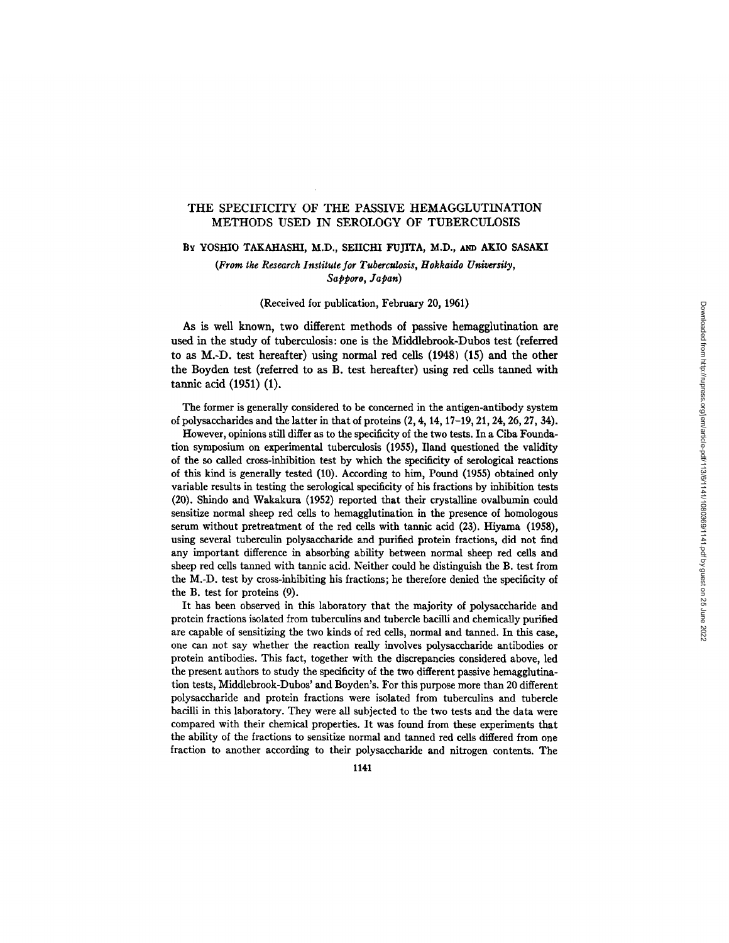# THE SPECIFICITY OF THE PASSIVE HEMAGGLUTINATION METHODS USED IN SEROLOGY OF TUBERCULOSIS

### BY YOSHIO TAKAHASHI, M.D., SEIICHI FUJITA, M.D., AND AKIO SASAKI

*(From the Research Institute for Tuberculosis, Hokkaido University, Sapporo, Japan)* 

### (Received for publication, February 20, 1961)

As is well known, two different methods of passive hemagglutination are used in the study of tuberculosis: one is the Middlebrook-Dubos test (referred to as M.-D. test hereafter) using normal red cells (1948) (15) and the other the Boyden test (referred to as B. test hereafter) using red cells tanned with tannic acid (1951) (1).

The former is generally considered to be concerned in the antigen-antibody system of polysaccharides and the latter in that of proteins (2, 4, 14, 17-19, 21, 24, 26, 27, 34).

However, opinions still differ as to the specificity of the two tests. In a Ciba Foundation symposium on experimental tuberculosis (1955), Iland questioned the validity of the so called cross-inhibition test by which the specificity of serological reactions of this kind is generally tested (10). According to him, Pound (1955) obtained only variable results in testing the serological specificity of his fractions by inhibition tests (20). Shindo and Wakakura (1952) reported that their crystalline ovalbumin could sensitize normal sheep red cells to hemagglutination in the presence of homologous serum without pretreatment of the red cells with tannic acid (23). Hiyama (1958), using several tuberculin polysaccharide and purified protein fractions, did not find any important difference in absorbing ability between normal sheep red cells and sheep red cells tanned with tannic acid. Neither could he distinguish the B. test from the M.-D. test by cross-inhibiting his fractions; he therefore denied the specificity of the B. test for proteins (9).

It has been observed in this laboratory that the majority of polysaccharide and protein fractions isolated from tuberculins and tubercle bacilli and chemically purified are capable of sensitizing the two kinds of red cells, normal and tanned. In this case, one can not say whether the reaction really involves polysaccharide antibodies or protein antibodies. This fact, together with the discrepancies considered above, led the present authors to study the specificity of the two different passive hemagglutination tests, Middlebrook-Dubos' and Boyden's. For this purpose more than 20 different polysaccharide and protein fractions were isolated from tuberculins and tubercle bacilli in this laboratory. They were all subjected to the two tests and the data were compared with their chemical properties. It was found from these experiments that the ability of the fractions to sensitize normal and tanned red cells differed from one fraction to another according to their polysaccharide and nitrogen contents. The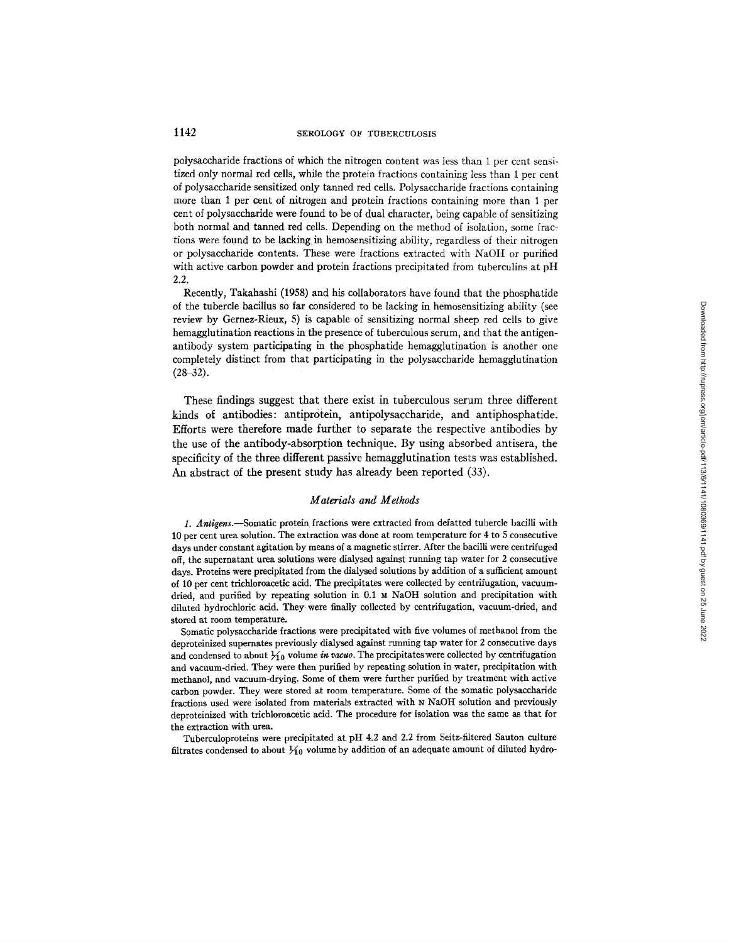polysaccharide fractions of which the nitrogen content was less than 1 per cent sensitized only normal red cells, while the protein fractions containing less than 1 per cent of polysaccharide sensitized only tanned red cells. Polysaccharide fractions containing more than 1 per cent of nitrogen and protein fractions containing more than 1 per cent of polysaccharide were found to be of dual character, being capable of sensitizing both normal and tanned red cells. Depending on the method of isolation, some fractions were found to be lacking, in hemosensitizing ability, regardless of their nitrogen or polysaccharide contents. These were fractions extracted with NaOH or purified with active carbon powder and protein fractions precipitated from tuberculins at pH 2.2.

Recently, Takahashi (1958) and his collaborators have found that the phosphatide of the tubercle bacillus so far considered to be lacking in hemosensitizing ability (see review by Gernez-Rieux, 5) is capable of sensitizing normal sheep red cells to give hemagglutination reactions in the presence of tuberculous serum, and that the antigenantibody system participating in the phosphatide hemagglutination is another one completely distinct from that participating in the polysaccharide hemagglutination  $(28-32)$ .

These findings suggest that there exist in tuberculous serum three different kinds of antibodies: antipr0tein, antipolysaccharide, and antiphosphatide. Efforts were therefore made further to separate the respective antibodies by the use of the antibody-absorption technique. By using absorbed antisera, the specificity of the three different passive hemagglutination tests was established. An abstract of the present study has already been reported (33).

### *Materials and Methods*

*1. Antigens.--Somafic* protein fractions were extracted from defatted tubercle bacilli with 10 per cent urea solution. The extraction was done at room temperature for 4 to 5 consecutive days under constant agitation by means of a magnetic stirrer. Mter the bacilli were centrifuged off, the supernatant urea solutions were dialysed against running tap water for 2 consecutive days. Proteins were precipitated from the dialysed solutions by addition of a sufficient amount of 10 per cent trichloroacetic acid. The precipitates were collected by centrifugation, vacuumdried, and purified by repeating solution in 0.1  $\times$  NaOH solution and precipitation with diluted hydrochloric acid. They were finally collected by centrifugation, vacuum-dried, and stored at room temperature.

Somatic polysaccharide fractions were precipitated with five volumes of methanol from the deproteinized supemates previously dialysed against running tap water for 2 consecutive days and condensed to about  $\frac{1}{10}$  volume in vacuo. The precipitates were collected by centrifugation and vacuum-dried. They were then purified by repeating solution in water, prccipitation with methanol, and vacuum-drying. Some of them were further purified by treatment with active carbon powder. They were stored at room temperature. Some of the somatic polysaccharide fractions used were isolated from materials extracted with N NaOH solution and previously deproteinized with trichloroacetic acid. The procedure for isolation was the same as that for the extraction with urea.

Tuberculoproteins were precipitated at pH 4.2 and 2.2 from Seitz-filtered Sauton culture filtrates condensed to about  $\frac{1}{10}$  volume by addition of an adequate amount of diluted hydro-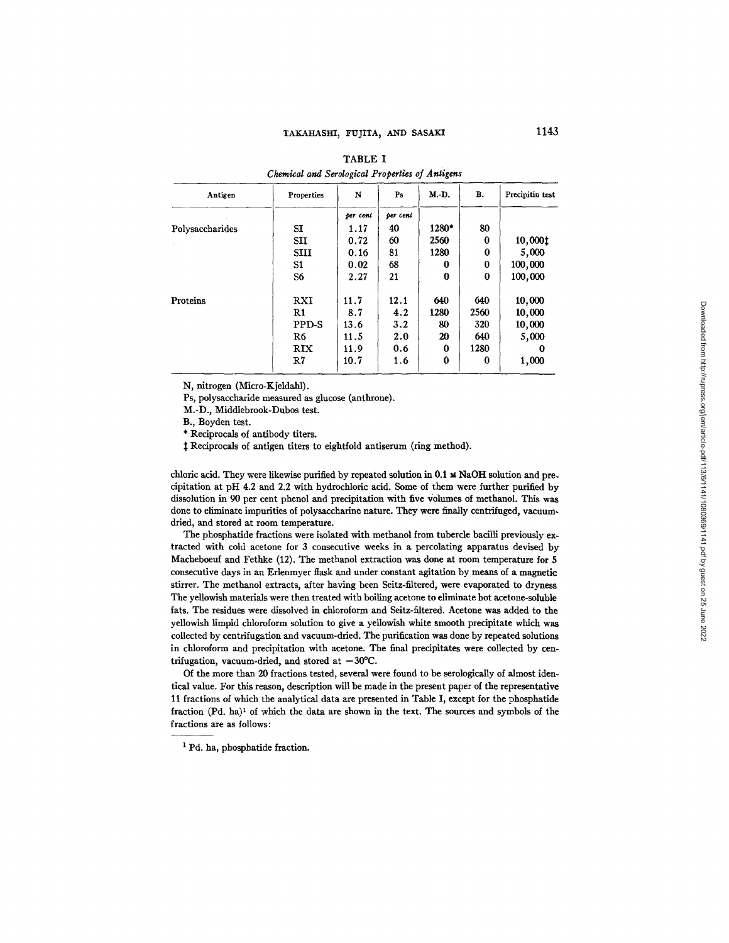| Antigen         | Properties     | N        | Ps       | M.-D.    | B.       | Precipitin test |
|-----------------|----------------|----------|----------|----------|----------|-----------------|
|                 |                | per cent | per cent |          |          |                 |
| Polysaccharides | SI             | 1.17     | 40       | 1280*    | 80       |                 |
|                 | <b>SII</b>     | 0.72     | 60       | 2560     | 0        | 10,000‡         |
|                 | <b>SIII</b>    | 0.16     | 81       | 1280     | $\bf{0}$ | 5,000           |
|                 | S1             | 0.02     | 68       | 0        | 0        | 100,000         |
|                 | S <sub>6</sub> | 2.27     | 21       | $\Omega$ | $\bf{0}$ | 100,000         |
| Proteins        | RXI            | 11.7     | 12.1     | 640      | 640      | 10,000          |
|                 | R1             | 8.7      | 4.2      | 1280     | 2560     | 10,000          |
|                 | PPD-S          | 13.6     | 3.2      | 80       | 320      | 10,000          |
|                 | R <sub>6</sub> | 11.5     | 2.0      | 20       | 640      | 5,000           |
|                 | RIX            | 11.9     | 0.6      | 0        | 1280     | 0               |
|                 | R7             | 10.7     | 1.6      | $\bf{0}$ | 0        | 1,000           |

TABLE I *Chemical and Serdogical Properties of Antigens* 

N, nitrogen (Micro-Kjeldahl).

Ps, polysaccharide measured as glucose (anthrone).

M.-D., Middlebrook-Dubos test.

B., Boyden test.

\* Reciprocals of antibody titers.

 $\ddagger$  Reciprocals of antigen titers to eightfold antiserum (ring method).

chloric acid. They were likewise purified by repeated solution in 0.1  $\mu$  NaOH solution and precipitation at pH 4.2 and 2.2 with hydrochloric acid. Some of them were further purified by dissolution in 90 per cent phenol and precipitation with five Volumes of methanol. This was done to eliminate impurities of polysaccharine nature. They were finally centrifuged, vacuumdried, and stored at room temperature.

The pbosphatide fractions were isolated with methanol from tubercle bacilli previously extracted with cold acetone for 3 consecutive weeks in a percolating apparatus devised by Macheboeuf and Fethke (12). The methanol extraction was done at room temperature for 5 consecutive days in an Erlenmyer flask and under constant agitation by means of a magnetic stirrer. The methanol extracts, after having been Seitz-filtered, were evaporated to dryness The yellowish materials were then treated with boiling acetone to eliminate hot acetone-soluble fats. The residues were dissolved in chloroform and Seitz-filtered. Acetone was added to the yellowish limpid chloroform solution to give a yellowish white smooth precipitate which was collected by centrifugation and vacuum-dried. The purification was done by repeated solutions in chloroform and precipitation with acetone. The final precipitates were collected by centrifugation, vacuum-dried, and stored at  $-30^{\circ}$ C.

Of the more than 20 fractions tested, several were found to be serologically of almost identical value. For this reason, description will be made in the present paper of the representative 11 fractions of which the analytical data are presented in Table I, except for the phosphatide fraction  $(Pd. ha)^1$  of which the data are shown in the text. The sources and symbols of the fractions are as follows:

<sup>&</sup>lt;sup>1</sup> Pd. ha, phosphatide fraction.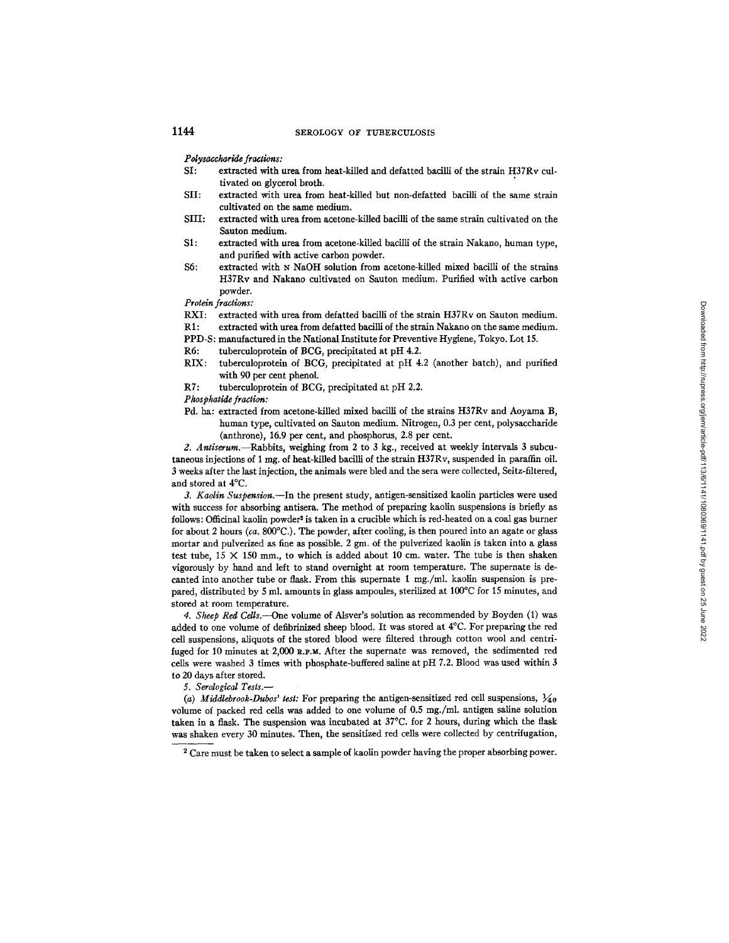# 1144 SEROLOGY OF TUBERCULOSIS

 $Polysaccharide$  fractions:

- **SI:** extracted with urea from heat-killed and defatted bacilli of the strain H37Rv cultivated on glycerol broth.
- **SII:** extracted with urea from heat-killed but non-defatted bacilli of the same strain cultivated on the same medium.
- **SIII:** extracted with urea from acetone-killed bacilli of the same strain cultivated on the Sauton medium.
- \$1: extracted with urea from acetone-killed bacilli of the strain Nakano, human type, and purified with active carbon powder.
- \$6: extracted with N NaOH solution from acetone-killed mixed bacilli of the strains H37Rv and Nakano cultivated on Sauton medium. Purified with active carbon powder.

*Protein fractions:* 

- RXI: extracted with urea from defatted bacilli of the strain H37Rv on Sauton medium.
- R1: extracted with urea from defatted bacilli of the strain Nakano on the same medium.
- PPD-S: manufactured in the National Institute for Preventive Hygiene, Tokyo. Lot 15.
- R6: tuberculoprotein of BCG, precipitated at pH 4.2.
- **RIX:** tuberculoprotein of BCG, precipitated at pH 4.2 (another batch), and purified with 90 per cent phenol.
- R7: tuberculoprotein of BCG, precipitated at pH 2.2.

### *Phosphatide fraction:*

Pd. ha: extracted from acetone-killed mixed bacilli of the strains H37Rv and Aoyama B, human type, cultivated on Sauton medium. Nitrogen, 0.3 per cent, polysaccharide (anthrone), 16.9 per cent, and phosphorus, 2.8 per cent.

*g. Antiserum.--Rabbits,* weighing from 2 to 3 kg., received at weekly intervals 3 subcutaneous injections of 1 mg, of heat-killed bacilli of the strain H37Rv, suspended in paraffin oil. 3 weeks after the last injection, the animals were bled and the sera were collected, Seitz-filtered, and stored at 4°C.

*3. Kaolin Suspension.--In* the present study, antigen-sensitized kaolin particles were used with success for absorbing antisera. The method of preparing kaolin suspensions is briefly as follows: Officinal kaolin powder<sup>2</sup> is taken in a crucible which is red-heated on a coal gas burner for about 2 hours *(ca.* 800°C.). The powder, after cooling, is then poured into an agate or glass mortar and pulverized as fine as possible. 2 gm. of the pulverized kaolin is taken into a glass test tube,  $15 \times 150$  mm., to which is added about 10 cm. water. The tube is then shaken vigorously by hand and left to stand overnight at room temperature. The supernate is decanted into another tube or flask. From this supernate 1 mg./ml, kaolin suspension is prepared, distributed by 5 ml. amounts in glass ampoules, sterilized at 100°C for 15 minutes, and stored at room temperature.

4. Sheep Red Cells.---One volume of Alsver's solution as recommended by Boyden (1) was added to one volume of defibrinised sheep blood. It was stored at 4°C. For preparing the red cell suspensions, aiiquots of the stored blood were filtered through cotton wool and centrifuged for 10 minutes at  $2,000$  R.P.M. After the supernate was removed, the sedimented red cells were washed 3 times with phosphate-buffered saline at pH 7.2. Blood was used within 3 to 20 days after stored.

*5. Serological Tests.--* 

(a) Middlebrook-Dubos' test: For preparing the antigen-sensitized red cell suspensions,  $\frac{1}{40}$ volume of packed red cells was added to one volume of 0.5 mg./ml, antigen saline solution taken in a flask. The suspension was incubated at 37°C. for 2 hours, during which the flask was shaken every 30 minutes. Then, the sensitized red cells were collected by centrifugation,

<sup>&</sup>lt;sup>2</sup> Care must be taken to select a sample of kaolin powder having the proper absorbing power.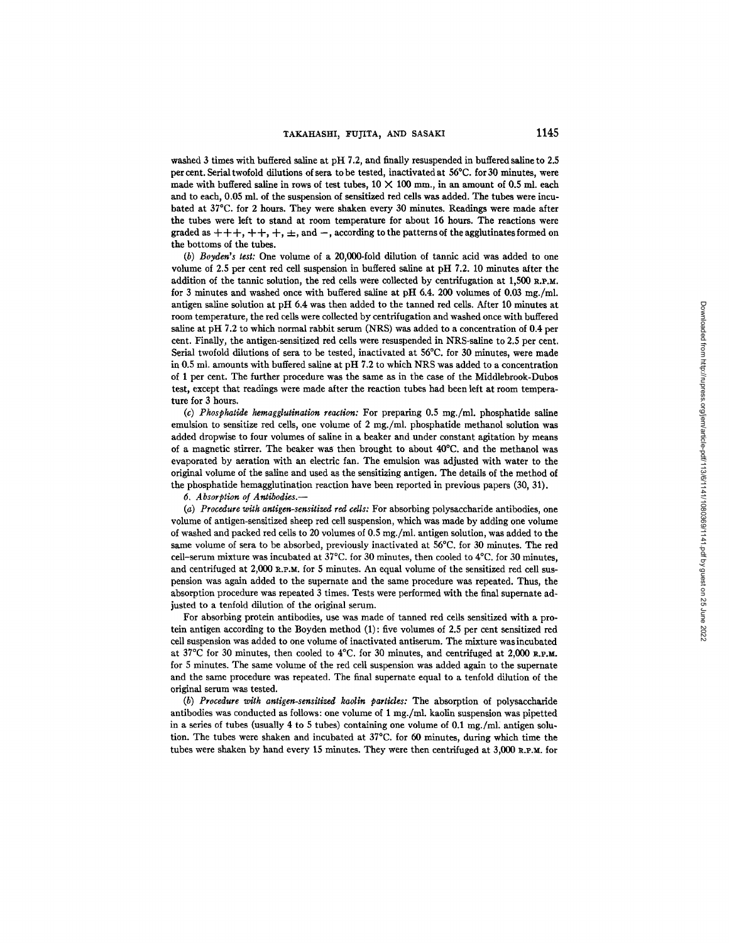washed 3 times with buffered saline at pH 7.2, and finally resuspended in buffered saline to 2.5 per cent. Serial twofold dilutions of sera to be tested, inactivated at 56°C. for 30 minutes, were made with buffered saline in rows of test tubes,  $10 \times 100$  mm., in an amount of 0.5 ml. each and to each, 0.05 ml. of the suspension of sensitized red cells was added. The tubes were incubated at 37°C. for 2 hours. They were shaken every 30 minutes. Readings were made after the tubes were left to stand at room temperature for about 16 hours. The reactions were graded as  $+++$ ,  $++$ ,  $+$ ,  $+$ ,  $\pm$ , and  $-$ , according to the patterns of the agglutinates formed on the bottoms of the tubes.

*(b) Boyden's test:* One volume of a 20,000-fold dilution of tannic acid was added to one volume of 2.5 per cent red cell suspension in buffered saline at pH 7.2. 10 minutes after the addition of the tannic solution, the red cells were collected by centrifugation at  $1,500$  R.P.M. for 3 minutes and washed once with buffered saline at pH 6.4. 200 volumes of 0.03 mg./ml. antigen saline solution at pH 6.4 was then added to the tanned red cells. After 10 minutes at room temperature, the red cells were collected by centrifugation and washed once with buffered saline at pH 7.2 to which normal rabbit serum (NRS) was added to a concentration of 0.4 per cent. Finally, the antigen-sensitized red cells were resuspended in NRS-saline to 2.5 per cent. Serial twofold dilutions of sera to be tested, inactivated at 56°C. for 30 minutes, were made in 0.5 ml. amounts with buffered saline at pH 7.2 to which NRS was added to a concentration of 1 per cent. The further procedure was the same as in the case of the Middlebrook-Dubos test, except that readings were made after the reaction tubes had been left at room temperature for 3 hours.

*(c) Phosphatide hemagglutination reaction:* For preparing 0.5 mg./ml, phosphatide saline emulsion to sensitize red cells, one volume of 2 mg./ml, phosphatide methanol solution was added dropwise to four volumes of saline in a beaker and under constant agitation by means of a magnetic stirrer. The beaker was then brought to about 40°C. and the methanol was evaporated by aeration with an electric fan. The emulsion was adjusted with water to the original volume of the saline and used as the sensitizing antigen. The details of the method of the phosphatide hemaggiutination reaction have been reported in previous papers (30, 31).

 $6.$  *Absorption of Antibodies.*-

*(a) Procedure witk antigen-sensitized red cells:* For absorbing polysaccharide antibodies, one volume of antigen-sensitized sheep red cell suspension, which was made by adding one volume of washed and packed red ceils to 20 volumes of 0.5 mg./ml, antigen solution, was added to the same volume of sera to be absorbed, previously inactivated at 56°C. for 30 minutes. The red cell-serum mixture was incubated at 37°C. for 30 minutes, then cooled to 4°C. for 30 minutes, and centrifuged at 2,000 R.P.M. for 5 minutes. An equal volume of the sensitized red cell suspension was again added to the supernate and the same procedure was repeated. Thus, the absorption procedure was repeated 3 times. Tests were performed with the final supernate adjusted to a tenfold dilution of the original serum.

For absorbing protein antibodies, use was made of tanned red cells sensitized with a protein antigen according to the Boyden method (1) : five volumes of 2.5 per cent sensitized red cell suspension was added to one volume of inactivated antiserum. The mixture was incubated at 37°C for 30 minutes, then cooled to 4°C. for 30 minutes, and centrifuged at 2,000 R.P.M. for 5 minutes. The same volume of the red cell suspension was added again to the supernate and the same procedure was repeated. The final supernate equal to a tenfold dilution of the original serum was tested.

*(b) Procedure with antigen-sensitized kaolin particles:* The absorption of polysaccharide antibodies was conducted as follows: one volume of 1 mg./ml, kaolin suspension was pipetted in a series of tubes (usually 4 to 5 tubes) containing one volume of 0.1 mg./ml. antigen solution. The tubes were shaken and incubated at 37°C. for 60 minutes, during which time the tubes were shaken by hand every 15 minutes. They were then centrifuged at  $3,000$  R.P.M, for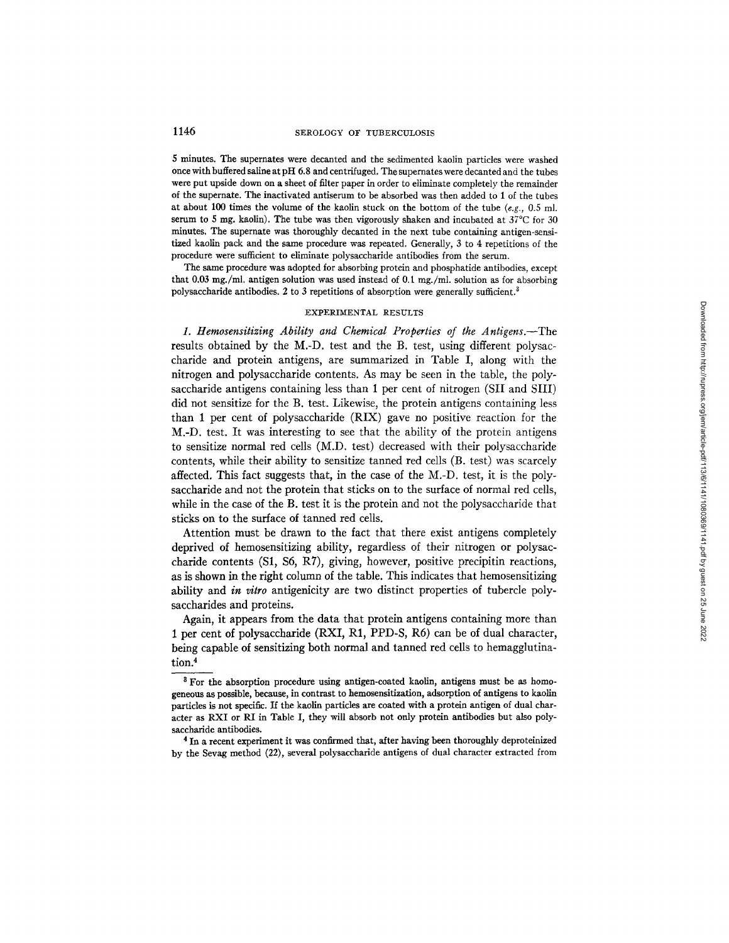# 1146 SEROLOGY OF TUBERCULOSIS

5 minutes. The supernates were decanted and the sedimented kaolin particles were washed once with buffered saline at pH 6.8 and centrifuged. The supernates were decanted and the tubes were put upside down on a sheet of filter paper in order to eliminate completely the remainder of the superuate. The inactivated antiserum to be absorbed was then added to 1 of the tubes at about 100 times the volume of the kaolin stuck on the bottom of the tube  $(e.g., 0.5 \text{ m})$ . serum to 5 mg. kaolin). The tube was then vigorously shaken and incubated at 37°C for 30 minutes. The supernate was thoroughly decanted in the next tube containing antigen-sensitized kaolin pack and the same procedure was repeated. Generally, 3 to 4 repetitions of the procedure were sufficient to eliminate polysaccharide antibodies from the serum.

The same procedure was adopted for absorbing protein and phosphatide antibodies, except that 0.03 mg./ml, antigen solution was used instead of 0.1 mg./ml, solution as for absorbing polysaccharide antibodies. 2 to 3 repetitions of absorption were generally sufficient.<sup>3</sup>

### EXPERIMENTAL RESULTS

*1. Hemosensitizing Ability and Chemical Properties of the Antigens.--The*  results obtained by the M.-D. test and the B. test, using different polysaccharide and protein antigens, are summarized in Table I, along with the nitrogen and polysaccharide contents. As may be seen in the table, the polysaccharide antigens containing less than 1 per cent of nitrogen (SII and SIII) did not sensitize for the B. test. Likewise, the protein antigens containing less than 1 per cent of polysaccharide (RIX) gave no positive reaction for the M.-D. test. It was interesting to see that the ability of the protein antigens to sensitize normal red cells (M.D. test) decreased with their polysaccharide contents, while their ability to sensitize tanned red cells (B. test) was scarcely affected. This fact suggests that, in the case of the M.-D. test, it is the polysaccharide and not the protein that sticks on to the surface of normal red cells, while in the case of the B. test it is the protein and not the polysaccharide that sticks on to the surface of tanned red cells.

Attention must be drawn to the fact that there exist antigens completely deprived of hemosensitizing ability, regardless of their nitrogen or polysaccharide contents (S1, \$6, RT), giving, however, positive precipitin reactions, as is shown in the right column of the table. This indicates that hemosensitizing ability and *in vitro* antigenicity are two distinct properties of tubercle polysaccharides and proteins.

Again, it appears from the data that protein antigens containing more than 1 per cent of polysaccharide (RXI, R1, PPD-S, R6) can be of dual character, being capable of sensitizing both normal and tanned red cells to hemagglutination.<sup>4</sup>

<sup>&</sup>lt;sup>8</sup> For the absorption procedure using antigen-coated kaolin, antigens must be as homogeneous as possible, because, in contrast to hemosensitizafion, adsorption of antigens to kaolin particles is not specific. If the kaolin particles are coated with a protein antigen of dual character as RXI or RI in Table I, they will absorb not only protein antibodies but also polysaccharide antibodies.

<sup>&</sup>lt;sup>4</sup> In a recent experiment it was confirmed that, after having been thoroughly deproteinized by the Sevag method (22), several polysaccharide antigens of dual character extracted from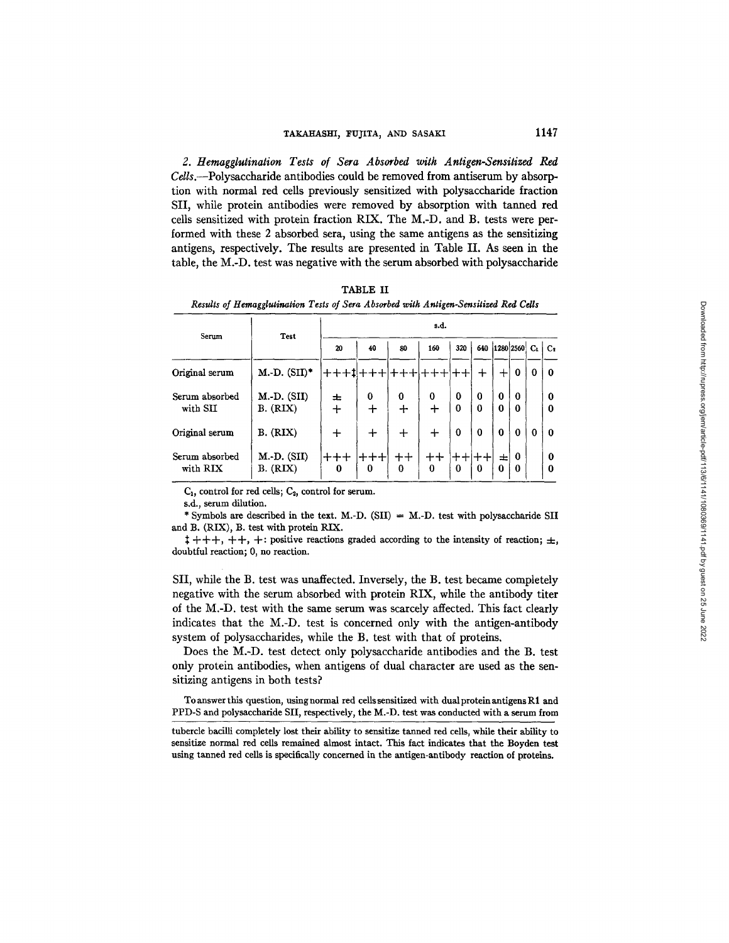*2. Hemagglutination Tests of Sera Absorbed with Antigen-Sensitized Red Cdls.--Polysacchaxide* antibodies could be removed from antiserum by absorption with normal red cells previously sensitized with polysacchaxide fraction SII, while protein antibodies were removed by absorption with tanned red ceils sensitized with protein fraction RIX. The M.-D. and B. tests were performed with these 2 absorbed sera, using the same antigens as the sensitizing antigens, respectively. The results are presented in Table II. As seen in the table, the M.-D. test was negative with the serum absorbed with polysaccharide

TABLE II *Results of ttemagglutination Tests of Sera Absorbed with Antigen-Sensitized Red Cells* 

| Serum                      |                                  | s.d.        |          |                    |         |        |               |               |                      |          |               |  |
|----------------------------|----------------------------------|-------------|----------|--------------------|---------|--------|---------------|---------------|----------------------|----------|---------------|--|
|                            | Test                             | 20          | 40       | 80                 | 160     | 320    | 640           |               | 1280 2560            | $C_{1}$  | $c_{\rm z}$   |  |
| Original serum             | $M.-D.$ (SII) <sup>*</sup>       |             |          |                    |         |        | ┿             |               | $\bf{0}$             | 0        | $\bf{0}$      |  |
| Serum absorbed<br>with SII | $M.-D.$ (SII)<br><b>B.</b> (RIX) | ᆂ<br>$\div$ | 0<br>┿   | $\bf{0}$<br>$\div$ | 0<br>┿  | 0<br>0 | $\bf{0}$<br>0 | 0<br>0        | $\Omega$<br>$\bf{0}$ |          | $\Omega$<br>0 |  |
| Original serum             | B. (RIX)                         | $\div$      | $\pm$    | ┿                  | ┿       | 0      | $\Omega$      | $\Omega$      | $\bf{0}$             | $\bf{0}$ | $\mathbf 0$   |  |
| Serum absorbed<br>with RIX | $M.-D.$ (SII)<br>B. (RIX)        | ナナナ<br>0    | ナナナ<br>0 | ᆠᆠ<br>0            | ++<br>0 | 0      | ᆠᆠ<br>0       | ᆂ<br>$\bf{0}$ | 0<br>$\bf{0}$        |          | 0<br>$\Omega$ |  |

 $C_1$ , control for red cells;  $C_2$ , control for serum.

s.d., serum dilution.

\* Symbols are described in the text. M.-D. (SII)  $=$  M.-D. test with polysaccharide SII and B. (RIX), B. test with protein RIX.

 $\ddagger$  +++, ++, +: positive reactions graded according to the intensity of reaction;  $\pm$ , doubtful reaction; 0, no reaction.

SII, while the B. test was unaffected. Inversely, the B. test became completely negative with the serum absorbed with protein RIX, while the antibody titer of the M.-D. test with the same serum was scarcely affected. This fact clearly indicates that the M.-D. test is concerned only with the antigen-antibody system of polysaccharides, while the B. test with that of proteins.

Does the M.-D. test detect only polysaccharide antibodies and the B. test only protein antibodies, when antigens of dual character are used as the sensitizing antigens in both tests?

To answer this question, using normal red cells sensitized with dual protein antigens R1 and PPD-S and polysaccharide SII, respectively, the M.-D. test was conducted with a serum from

tubercle bacilli completely lost their ability to sensitize tanned red cells, while their ability to sensitize normal red cells remained almost intact. This fact indicates that the Boyden test using tanned red cells is specifically concerned in the antigen-antibody reaction of proteins.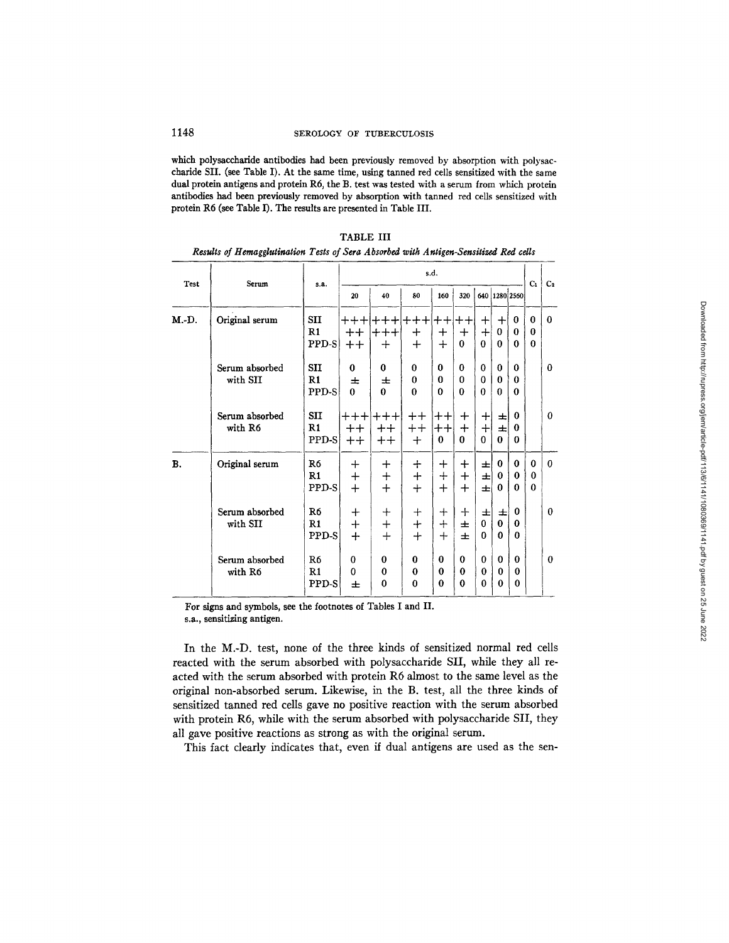which polysaccharide antibodies had been previously removed by absorption with polysaccharide SII. (see Table I). At the same time, using tanned red cells sensitized with the same dual protein antigens and protein R6, the B. test was tested with a serum from which protein antibodies had been previously removed by absorption with tanned red cells sensitized with protein R6 (see Table I). The results are presented in Table III.

| Test      | Serum                      | s.a.                                 | s.d.                               |                                  |                                                 |                                                  |                                      |                             |                               |                                      |                                  | C <sub>2</sub> |
|-----------|----------------------------|--------------------------------------|------------------------------------|----------------------------------|-------------------------------------------------|--------------------------------------------------|--------------------------------------|-----------------------------|-------------------------------|--------------------------------------|----------------------------------|----------------|
|           |                            |                                      | 20                                 | 40                               | 80                                              | 160                                              | 320                                  |                             | 640 1280 2560                 |                                      | C <sub>1</sub>                   |                |
| M.-D.     | Original serum             | <b>SII</b><br>$\mathbf{R}1$<br>PPD-S | $++++$<br>$^+$<br>$^{\mathrm{+}}$  | $++++$<br>$+$                    | $+++ +++ $<br>$\bm{+}$<br>$+$                   | $+ +$<br>$\div$<br>$+$                           | $^{\mathrm{++}}$<br>$+$<br>$\bf{0}$  | $\bm{+}$<br>$+$<br>$\Omega$ | $\mathrm{+}$<br>0<br>$\Omega$ | $\bf{0}$<br>$\bf{0}$<br>$\bf{0}$     | $\Omega$<br>$\Omega$<br>$\theta$ | $\bf{0}$       |
|           | Serum absorbed<br>with SII | <b>SII</b><br>R1<br>PPD-S            | 0<br>士<br>$\Omega$                 | 0<br>士<br>0                      | 0<br>$\theta$<br>$\bf{0}$                       | 0<br>$\Omega$<br>$\Omega$                        | 0<br>$\bf{0}$<br>0                   | 0<br>$\bf{0}$<br>$\bf{0}$   | 0<br>0<br>0                   | $\Omega$<br>$\Omega$<br>$\Omega$     |                                  | $\Omega$       |
|           | Serum absorbed<br>with R6  | <b>SII</b><br>$_{\rm R1}$<br>PPD-S   | $++++$<br>$^{\mathrm{++}}$<br>$^+$ | $^{+++}$<br>$^+$<br>$++$         | $^{\mathrm{++}}$<br>$^{\mathrm{++}}$<br>$\ddag$ | $^{\mathrm{++}}$<br>$^{\mathrm{++}}$<br>$\bf{0}$ | $^{+}$<br>$\bm{+}$<br>$\mathbf{0}$   | $\bm{+}$<br>$+$<br>$\Omega$ | ᆂ<br>士<br>0                   | $\theta$<br>0<br>$\Omega$            |                                  | 0              |
| <b>B.</b> | Original serum             | R <sub>6</sub><br>R1<br>PPD-S        | ┿<br>$\ddag$<br>$+$                | ┿<br>$+$<br>$+$                  | $\pm$<br>$+$<br>$+$                             | $^+$<br>$^{+}$<br>$\ddag$                        | $\mathrm{+}$<br>$\div$<br>$+$        | 士<br>士<br>Ŧ                 | 0<br>0<br>0                   | $\mathbf{0}$<br>$\bf{0}$<br>$\Omega$ | 0<br>$\bf{0}$<br>$\Omega$        | $\Omega$       |
|           | Serum absorbed<br>with SII | R6<br>R1<br>PPD-S                    | $\bm{+}$<br>$^{+}$<br>$+$          | $\bm{+}$<br>$+$<br>$+$           | $\div$<br>$+$<br>$+$                            | ┿<br>$+$<br>$+$                                  | ┿<br>士<br>士                          | 王<br>0<br>0                 | 士<br>0<br>$\Omega$            | 0<br>$\Omega$<br>$\bf{0}$            |                                  | $\Omega$       |
|           | Serum absorbed<br>with R6  | R6<br>$\mathbb{R}1$<br>PPD-S         | $\bf{0}$<br>$\Omega$<br>士          | $\bf{0}$<br>$\theta$<br>$\bf{0}$ | 0<br>$\Omega$<br>0                              | $\bf{0}$<br>$\Omega$<br>0                        | $\mathbf{0}$<br>$\bf{0}$<br>$\bf{0}$ | 0<br>$\bf{0}$<br>0          | 0<br>$\theta$<br>0            | $\bf{0}$<br>$\bf{0}$<br>0            |                                  | 0              |

| TABLE III                                                                            |  |  |  |  |  |  |  |  |  |  |
|--------------------------------------------------------------------------------------|--|--|--|--|--|--|--|--|--|--|
| Results of Hemagglutination Tests of Sera Absorbed with Antigen-Sensitized Red cells |  |  |  |  |  |  |  |  |  |  |

For signs and symbols, see the footnotes of Tables I and II.

s.a., sensitizing antigen.

In the M.-D. test, none of the three kinds of sensitized normal red cells reacted with the serum absorbed with polysaccharide SII, while they all reacted with the serum absorbed with protein R6 almost to the same level as the original non-absorbed serum. Likewise, in the B. test, all the three kinds of sensitized tanned red cells gave no positive reaction with the serum absorbed with protein R6, while with the serum absorbed with polysaccharide SII, they all gave positive reactions as strong as with the original serum.

This fact clearly indicates that, even if dual antigens are used as the sen-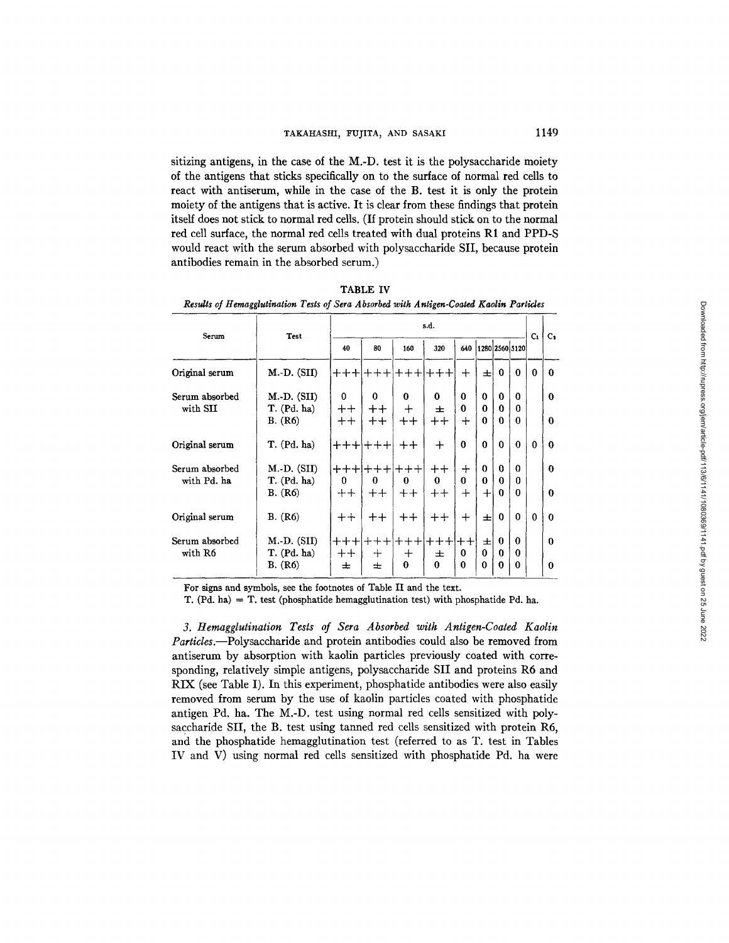sitizing antigens, in the case of the M.-D. test it is the polysaccharide moiety of the antigens that sticks specifically on to the surface of normal red cells to react with antiserum, while in the case of the B. test it is only the protein moiety of the antigens that is active. It is clear from these findings that protein itself does not stick to normal red cells. (If protein should stick on to the normal red cell surface, the normal red cells treated with dual proteins R1 and PPD-S would react with the serum absorbed with polysaccharide SII, because protein antibodies remain in the absorbed serum.)

TABLE IV *Results of Hemagglutination Tests of Sera A bsorbed with Antigen-Coated Kaolin Particles* 

| Serum                         | Test                                           | s.d.              |                                       |                     |                                       |                                    |                                |             |                           |          | $c_{\bullet}$ |
|-------------------------------|------------------------------------------------|-------------------|---------------------------------------|---------------------|---------------------------------------|------------------------------------|--------------------------------|-------------|---------------------------|----------|---------------|
|                               |                                                | 40                | 80                                    | 160                 | 320                                   | 640                                |                                |             | 1280 2560 5120            | Cı.      |               |
| Original serum                | M.-D. (SII)                                    |                   | ┽┾┿╟╃┿┿┆╃┿┾╟┿┿┾                       |                     |                                       | $\pm$                              | 士                              | $\Omega$    | 0                         | 0        | 0             |
| Serum absorbed<br>with SII    | $M.-D.$ (SII)<br>T. (Pd. ha)<br>B. (R6)        | 0<br>$++$<br>$++$ | 0<br>$++$<br>$++$                     | 0<br>$\div$<br>$^+$ | 0<br>士<br>$^+$                        | $\bf{0}$<br>$\mathbf{0}$<br>$\div$ | $\Omega$<br>0<br>$\Omega$      | 0<br>0<br>0 | <sup>0</sup><br>0<br>0    |          | 0<br>0        |
| Original serum                | T. (Pd. ha)                                    |                   | +++ +++                               | $^{\mathrm{++}}$    | $\ddot{}$                             | $\bf{0}$                           | $\bf{0}$                       | $\Omega$    | $\Omega$                  | $\Omega$ | $\Omega$      |
| Serum absorbed<br>with Pd. ha | $M.-D.$ (SII)<br>T. (Pd. ha)<br><b>B.</b> (R6) | $\Omega$<br>$++$  | <b>┿┿┿╟╈╇┿╟┿┿┿</b> ┆<br>0<br>$++$     | 0<br>$++$           | $^{\mathrm{++}}$<br>$\Omega$<br>$+ +$ | ┿<br>$\Omega$<br>$\div$            | $\bf{0}$<br>$\Omega$<br>$\div$ | 0<br>0<br>0 | $\Omega$<br>0<br>0        |          | 0<br>$\Omega$ |
| Original serum                | B. (R6)                                        | $^{\mathrm{++}}$  | $^{\mathrm{++}}$                      | $^{\mathrm{++}}$    | $^{\mathrm{+}}$                       | $\pm$                              | 士                              | 0           | $\Omega$                  | $\Omega$ | $\Omega$      |
| Serum absorbed<br>with R6     | $M.-D. (SII)$<br>T. (Pd. ha)<br>B. (R6)        | $++$<br>士         | <b>+++ +++ +++ +++</b><br>$\div$<br>士 | $\bm{+}$<br>0       | 士<br>$\Omega$                         | 0<br>0                             | 士<br>$\Omega$<br>$\mathbf 0$   | 0<br>o<br>0 | $\Omega$<br>$\Omega$<br>0 |          | 0<br>$\Omega$ |

For signs and symbols, see the footnotes of Table II and the text.

T.  $(Pd, ha) = T$ , test (phosphatide hemagglutination test) with phosphatide Pd. ha.

*3. ttemagglutination Tests of Sera Absorbed with Antigen-Coated Kaolin Particles.--Polysaccharide* and protein antibodies could also be removed from antiserum by absorption with kaolin particles previously coated with corresponding, relatively simple antigens, polysaccharide SII and proteins R6 and RIX (see Table I). In this experiment, phosphatide antibodies were also easily removed from serum by the use of kaolin particles coated with phosphatide antigen Pd. ha. The M.-D. test using normal red cells sensitized with polysaccharide SII, the B. test using tanned red cells sensitized with protein R6, and the phosphatide hemagglutination test (referred to as T. test in Tables IV and V) using normal red cells sensitized with phosphatide Pd. ha were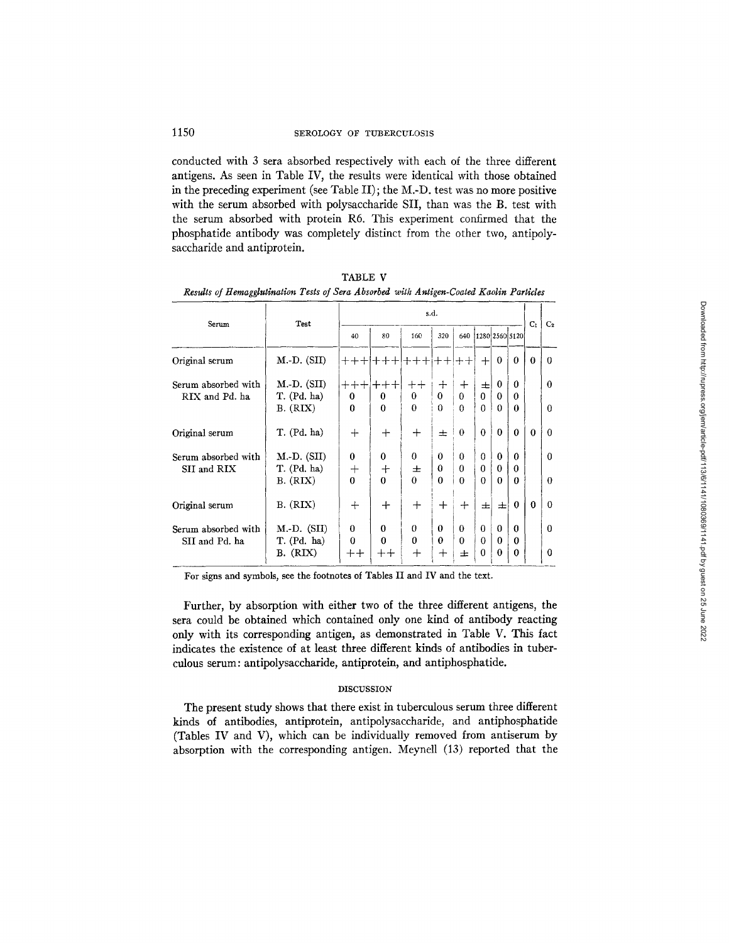conducted with 3 sera absorbed respectively with each of the three different antigens. As seen in Table IV, the results were identical with those obtained in the preceding experiment (see Table II); the M.-D. test was no more positive with the serum absorbed with polysaccharide SII, than was the B. test with the serum absorbed with protein R6. This experiment confirmed that the phosphatide antibody was completely distinct from the other two, antipolysaccharide and antiprotein.

| Serum                              | Test                         | s.d.                           |                           |                      |                      |               |                      |               |                      |                | C <sub>2</sub> |
|------------------------------------|------------------------------|--------------------------------|---------------------------|----------------------|----------------------|---------------|----------------------|---------------|----------------------|----------------|----------------|
|                                    |                              | 40                             | 80                        | 160                  | 320                  | 640           | 1280 2560 5120       |               |                      | C <sub>1</sub> |                |
| Original serum                     | $M.-D. (SII)$                |                                | <u>╅╋╋╟╋╉╊╟╂╋╇╫</u> ╋╇╟╋╫ |                      |                      |               | $+$                  | $\theta$      | $\Omega$             | $\theta$       | $\Omega$       |
| Serum absorbed with                | $M.-D.$ (SII)                |                                | $+ + + + + + +$           | $++$                 | $\div$               | $\div$        | 士                    | 0             | 0                    |                | $\Omega$       |
| RIX and Pd. ha                     | T. (Pd. ha)<br>B. (RIX)      | $\bf{0}$<br>$\mathbf{0}$       | $\Omega$<br>$\Omega$      | 0<br>$\Omega$        | 0<br>$\Omega$        | 0<br>$\Omega$ | $\bf{0}$<br>$\Omega$ | 0<br>$\Omega$ | 0<br>$\Omega$        |                | $\Omega$       |
| Original serum                     | T. (Pd. ha)                  | $^{+}$                         | $^{+}$                    | $^{+}$               | 士                    | $\theta$      | $\bf{0}$             | $\theta$      | $\Omega$             | $\theta$       | $\bf{0}$       |
| Serum absorbed with<br>SII and RIX | $M.-D. (SII)$<br>T. (Pd. ha) | $\bf{0}$<br>$\hspace{0.1mm} +$ | 0<br>$\mathrm{+}$         | $\Omega$<br>士        | $\theta$<br>$\Omega$ | $\theta$<br>0 | $\Omega$<br>$\Omega$ | $\theta$<br>0 | 0<br>0               |                | $\Omega$       |
|                                    | B. (RIX)                     | 0                              | $\Omega$                  | $\Omega$             | $\Omega$             | $\Omega$      | $\Omega$             | $\Omega$      | $\Omega$             |                | $\theta$       |
| Original serum                     | B. (RIX)                     | $^{+}$                         | $\div$                    | $^{+}$               | ┿                    | ┿             | 士                    | 士             | 0                    | $\Omega$       | $\Omega$       |
| Serum absorbed with                | $M.-D.$ (SII)                | $\Omega$                       | $\bf{0}$                  | $\theta$<br>$\theta$ | $\bf{0}$<br>$\theta$ | 0             | $\Omega$             | $\Omega$      | 0                    |                | $\Omega$       |
| SII and Pd. ha                     | T. (Pd. ha)<br>B. (RIX)      | $\Omega$<br>$^+$               | $\Omega$<br>$^{++}$       | $^{+}$               | ┿                    | 0<br>士        | $\Omega$<br>$\Omega$ | $\Omega$<br>0 | $\Omega$<br>$\Omega$ |                | $\Omega$       |

TABLE V *Results of Hemagglutination Tests of Sera Absorbed with Antigen-Coated Kaolin Particles* 

For signs and symbols, see the footnotes of Tables II and IV and the text.

Further, by absorption with either two of the three different antigens, the sera could be obtained which contained only one kind of antibody reacting only with its corresponding antigen, as demonstrated in Table V. This fact indicates the existence of at least three different kinds of antibodies in tuberculous serum: antipolysaccharide, antiprotein, and antiphosphatide.

### DISCUSSION

The present study shows that there exist in tuberculous serum three different kinds of antibodies, antiprotein, antipolysaccharide, and antiphosphatide (Tables IV and V), which can be individually removed from antiserum by absorption with the corresponding antigen. Meynell (13) reported that the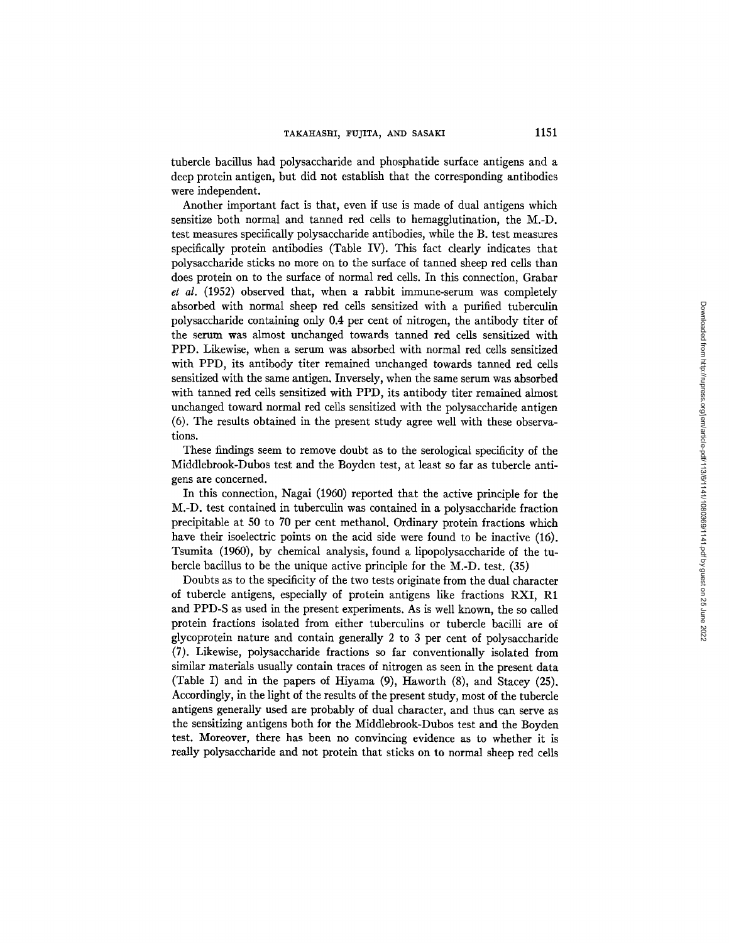tubercle bacillus had polysaccharide and phosphatide surface antigens and a deep protein antigen, but did not establish that the corresponding antibodies were independent.

Another important fact is that, even if use is made of dual antigens which sensitize both normal and tanned red cells to hemagglutination, the M.-D. test measures specifically polysaccharide antibodies, while the B. test measures specifically protein antibodies (Table IV). This fact clearly indicates that polysaccharide sticks no more on to the surface of tanned sheep red cells than does protein on to the surface of normal red cells. In this connection, Grabar *et al.* (1952) observed that, when a rabbit immune-serum was completely absorbed with normal sheep red cells sensitized with a purified tuberculin polysaccharide containing only 0.4 per cent of nitrogen, the antibody titer of the serum was almost unchanged towards tanned red cells sensitized with PPD. Likewise, when a serum was absorbed with normal red cells sensitized with PPD, its antibody titer remained unchanged towards tanned red cells sensitized with the same antigen. Inversely, when the same serum was absorbed with tanned red cells sensitized with *PPD,* its antibody titer remained almost unchanged toward normal red cells sensitized with the polysaccharide antigen (6). The results obtained in the present study agree well with these observations.

These findings seem to remove doubt as to the serological specificity of the Middlebrook-Dubos test and the Boyden test, at least so far as tubercle antigens are concerned.

In this connection, Nagai (1960) reported that the active principle for the M.-D. test contained in tuberculin was contained in a polysaccharide fraction precipitable at 50 to 70 per cent methanol. Ordinary protein fractions which have their isoelectric points on the acid side were found to be inactive (16). Tsumita (1960), by chemical analysis, found a lipopolysaccharide of the tubercle bacillus to be the unique active principle for the M.-D. test. (35)

Doubts as to the specificity of the two tests originate from the dual character of tubercle antigens, especially of protein antigens like fractions RXI, R1 and PPD-S as used in the present experiments. As is well known, the so called protein fractions isolated from either tuberculins or tubercle bacilli are of glycoprotein nature and contain generally 2 to 3 per cent of polysaccharide (7). Likewise, polysaccharide fractions so far conventionally isolated from similar materials usually contain traces of nitrogen as seen in the present data (Table I) and in the papers of Hiyama (9), Haworth (8), and Stacey (25). Accordingly, in the light of the results of the present study, most of the tubercle antigens generally used are probably of dual character, and thus can serve as the sensitizing antigens both for the Middlebrook-Dubos test and the Boyden test. Moreover, there has been no convincing evidence as to whether it is really polysaccharide and not protein that sticks on to normal sheep red cells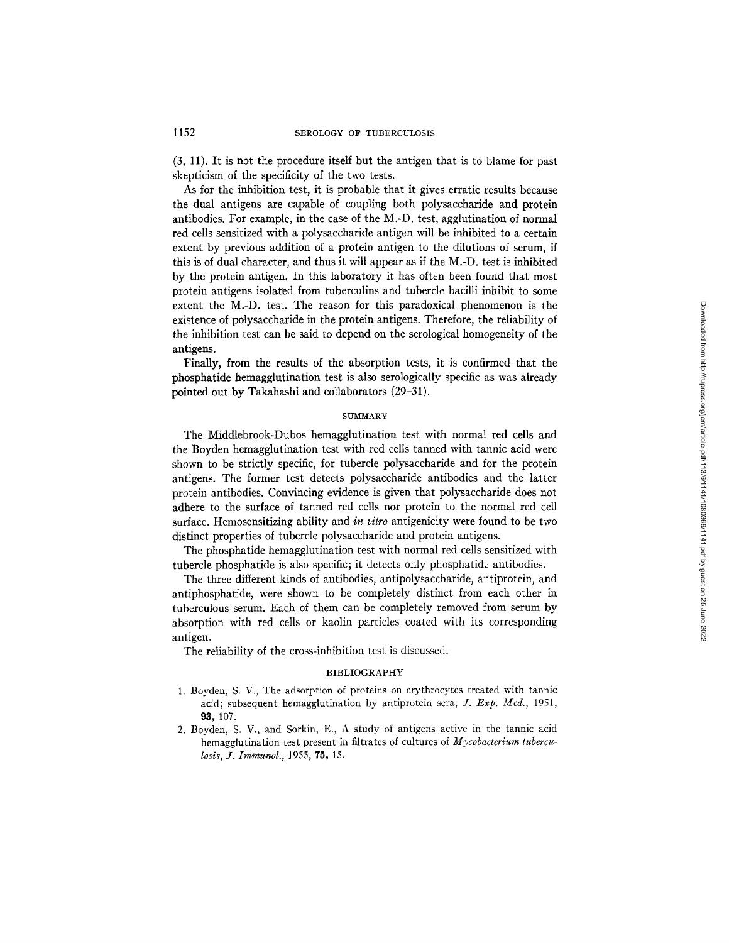(3, 11). It is not the procedure itself but the antigen that is to blame for past skepticism of the specificity of the two tests.

As for the inhibition test, it is probable that it gives erratic results because the dual antigens are capable of coupling both polysaccharide and protein antibodies. For example, in the case of the M.-D. test, agglutination of normal red cells sensitized with a polysaccharide antigen will be inhibited to a certain extent by previous addition of a protein antigen to the dilutions of serum, if this is of dual character, and thus it will appear as if the M.-D. test is inhibited by the protein antigen. In this laboratory it has often been found that most protein antigens isolated from tuberculins and tubercle bacilli inhibit to some extent the M.-D. test. The reason for this paradoxical phenomenon is the existence of polysaccharide in the protein antigens. Therefore, the reliability of the inhibition test can be said to depend on the serological homogeneity of the antigens.

Finally, from the results of the absorption tests, it is confirmed that the phosphatide hemagglutination test is also serologically specific as was already pointed out by Takahashi and collaborators (29-31).

### **SUMMARY**

The Middlebrook-Dubos hemagglutination test with normal red cells and the Boyden hemagglutination test with red cells tanned with tannic acid were shown to be strictly specific, for tubercle polysaccharide and for the protein antigens. The former test detects polysaccharide antibodies and the latter protein antibodies. Convincing evidence is given that polysaccharide does not adhere to the surface of tanned red cells nor protein to the normal red cell surface. Hemosensitizing ability and *in vitro* antigenicity were found to be two distinct properties of tubercle polysaccharide and protein antigens.

The phosphatide hemagglutination test with normal red cells sensitized with tubercle phosphatide is also specific; it detects only phosphatide antibodies.

The three different kinds of antibodies, antipolysaccharide, antiprotein, and antiphosphatide, were shown to be completely distinct from each other in tuberculous serum. Each of them can be completely removed from serum by absorption with red cells or kaolin particles coated with its corresponding antigen,

The reliability of the cross-inhibition test is discussed.

### BIBLIOGRAPHY

- 1. Boyden, S. V., The adsorption of proteins on erythrocytes treated with tannic acid; subsequent hemagglutination by antiprotein sera, *J. Exp. Med.,* 1951, **93, 107.**
- 2. Boyden, S. V., and Sorkin, E., A study of antigens active in the tannic acid hemagglutination test present in filtrates of cultures of *Mycobacterium tuberculosis, J. Immunol.,* 1955, 75, 15.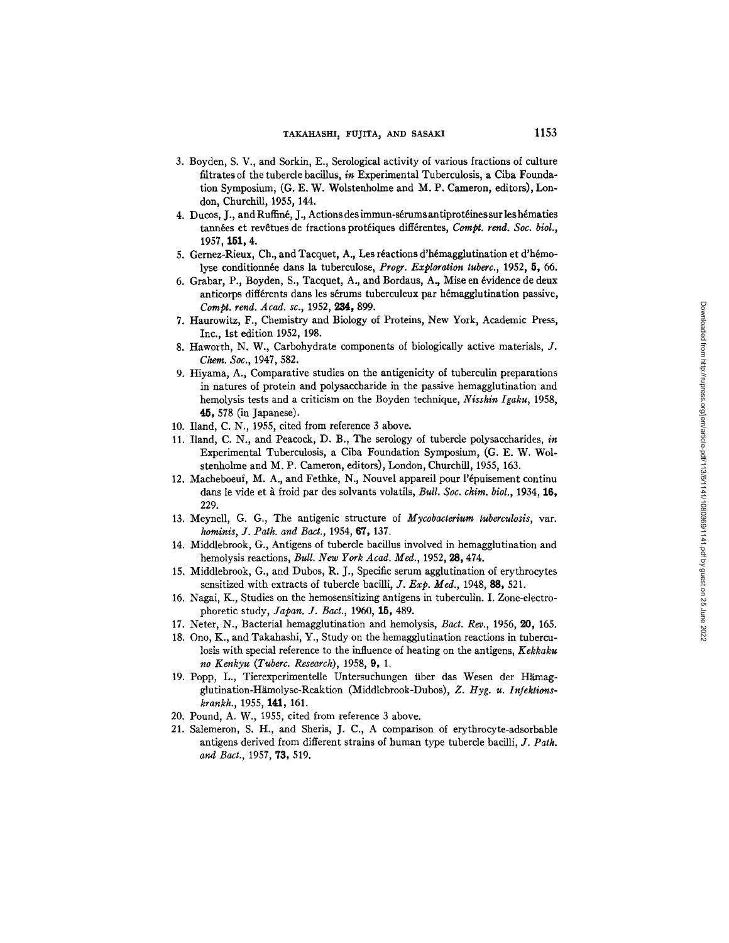- 3. Boyden, S. V., and Sorkin, E., Serological activity of various fractions of culture filtrates of the tubercle bacillus, *in* Experimental Tuberculosis, a Ciba Foundation Symposium, (G. E. W. Wolstenholme and M. P. Cameron, editors), London, Churchill, 1955, 144.
- 4. Ducos, J., and Ruffiné, J., Actions des immun-sérums antiprotéines sur les hématies tannées et revêtues de fractions protéiques différentes, *Compt. rend. Soc. biol.*, 1957, 151, 4.
- 5. Gernez-Rieux, Ch., and Tacquet, A., Les réactions d'hémagglutination et d'hémolyse conditionnée dans la tuberculose, *Progr. Exploration tuberc.*, 1952, 5, 66.
- 6. Grabar, P., Boyden, S., Tacquet, A., and Bordaus, A., Mise en 6vidence de deux anticorps différents dans les sérums tuberculeux par hémagglutination passive, *Compt. rend. Acad. sc.,* 1952, 234, 899.
- 7. Haurowitz, F., Chemistry and Biology of Proteins, New York, Academic Press, Inc., 1st edition 1952, 198.
- 8. Haworth, N. W., Carbohydrate components of biologically active materials, J. *Chem. Soc.,* 1947, 582.
- 9. Hiyama, A., Comparative studies on the antigenicity of tuberculin preparations in natures of protein and polysaccharide in the passive hemagglutination and hemolysis tests and a criticism on the Boyden technique, *Nisshin Igaku,* 1958, 45,578 (in Japanese).
- 10. Iland, C. N., 1955, cited from reference 3 above.
- 11. Iland, C. N., and Peacock, D. B., The serology of tubercle polysaccharides, *in*  Experimental Tuberculosis, a Ciba Foundation Symposium, (G. E. W. Wolstenholme and M. P. Cameron, editors), London, Churchill, 1955, 163.
- 12. Macheboeuf, M. A., and Fethke, N., Nouvel appareil pour l'épuisement continu dans le vide et à froid par des solvants volatils, *Bull. Soc. chim. biol.*, 1934, 16, 229.
- 13. MeyneU, G. G., The antigenic structure of *Mycobacterium tuberculosis,* var. *hominis, J. Path. and Bact.,* 1954, 67, 137.
- 14. Middlebrook, G., Antigens of tubercle bacillus involved in hemagglutination and hemolysis reactions, *Bull. New York Acad. Meal.,* 1952, 28,474.
- 15. Middlebrook, G., and Dubos, R. J., Specific serum agglutination of erythrocytes sensitized with extracts of tubercle bacilli, *J. Exp. Med.,* 1948, 88, 521.
- 16. Nagai, K., Studies on the hemosensitizing antigens in tuberculin. I. Zone-electrophoretic study, *Japan. J. Bact.,* 1960, 15, 489.
- 17. Neter, N., Bacterial hemagglutination and hemolysis, *Bact. Rev.,* 1956, 20, 165.
- 18. Ono, K., and Takahashi, Y., Study on the hemagglutination reactions in tuberculosis with special reference to the influence of heating on the antigens, *Kekkaku no Kenkyu (Tuberc. Research),* 1958, 9, 1.
- 19. Popp, L., Tierexperimentelle Untersuchungen über das Wesen der Hämagglutination-Hämolyse-Reaktion (Middlebrook-Dubos), Z. Hyg. u. Infektions*krankh.,* 1955, 141,161.
- 20. Pound, A. W., 1955, cited from reference 3 above.
- 21. Salemeron, S. H., and Sheris, J. C., A comparison of erythrocyte-adsorbable antigens derived from different strains of human type tubercle bacilli, *J. Path. and Bact.,* 1957, 73, 519.